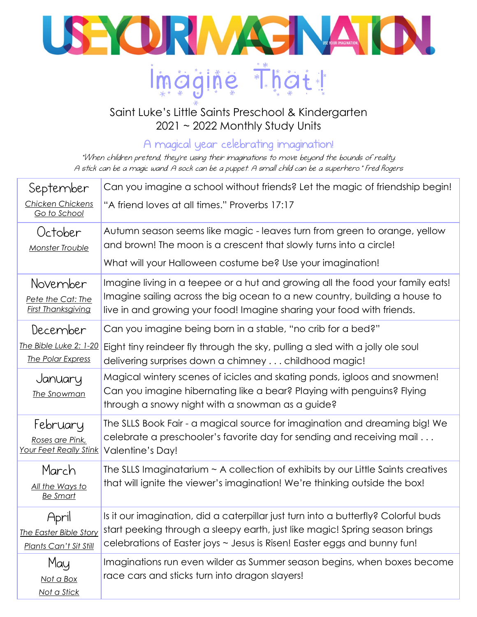

## Saint Luke's Little Saints Preschool & Kindergarten 2021 ~ 2022 Monthly Study Units

A magical year celebrating imagination!

"When children pretend, they're using their imaginations to move beyond the bounds of reality. A stick can be a magic wand. A sock can be a puppet. A small child can be a superhero." Fred Rogers

| September                                        | Can you imagine a school without friends? Let the magic of friendship begin!                                                                                      |
|--------------------------------------------------|-------------------------------------------------------------------------------------------------------------------------------------------------------------------|
| Chicken Chickens<br>Go to School                 | "A friend loves at all times." Proverbs 17:17                                                                                                                     |
| October                                          | Autumn season seems like magic - leaves turn from green to orange, yellow                                                                                         |
| Monster Trouble                                  | and brown! The moon is a crescent that slowly turns into a circle!                                                                                                |
|                                                  | What will your Halloween costume be? Use your imagination!                                                                                                        |
| November                                         | Imagine living in a teepee or a hut and growing all the food your family eats!                                                                                    |
| Pete the Cat: The                                | Imagine sailing across the big ocean to a new country, building a house to                                                                                        |
| <b>First Thanksgiving</b>                        | live in and growing your food! Imagine sharing your food with friends.                                                                                            |
| December                                         | Can you imagine being born in a stable, "no crib for a bed?"                                                                                                      |
| The Bible Luke 2: 1-20                           | Eight tiny reindeer fly through the sky, pulling a sled with a jolly ole soul                                                                                     |
| The Polar Express                                | delivering surprises down a chimney childhood magic!                                                                                                              |
| January                                          | Magical wintery scenes of icicles and skating ponds, igloos and snowmen!                                                                                          |
| The Snowman                                      | Can you imagine hibernating like a bear? Playing with penguins? Flying                                                                                            |
|                                                  | through a snowy night with a snowman as a guide?                                                                                                                  |
| tebruary                                         | The SLLS Book Fair - a magical source for imagination and dreaming big! We                                                                                        |
| Roses are Pink,<br><b>Your Feet Really Stink</b> | celebrate a preschooler's favorite day for sending and receiving mail<br>Valentine's Day!                                                                         |
|                                                  |                                                                                                                                                                   |
| March                                            | The SLLS Imaginatarium $\sim$ A collection of exhibits by our Little Saints creatives                                                                             |
| All the Ways to<br><b>Be Smart</b>               | that will ignite the viewer's imagination! We're thinking outside the box!                                                                                        |
|                                                  |                                                                                                                                                                   |
| April                                            | Is it our imagination, did a caterpillar just turn into a butterfly? Colorful buds<br>start peeking through a sleepy earth, just like magic! Spring season brings |
| The Easter Bible Story<br>Plants Can't Sit Still | celebrations of Easter joys ~ Jesus is Risen! Easter eggs and bunny fun!                                                                                          |
|                                                  | Imaginations run even wilder as Summer season begins, when boxes become                                                                                           |
| May                                              | race cars and sticks turn into dragon slayers!                                                                                                                    |
| Not a Box<br>Not a Stick                         |                                                                                                                                                                   |
|                                                  |                                                                                                                                                                   |